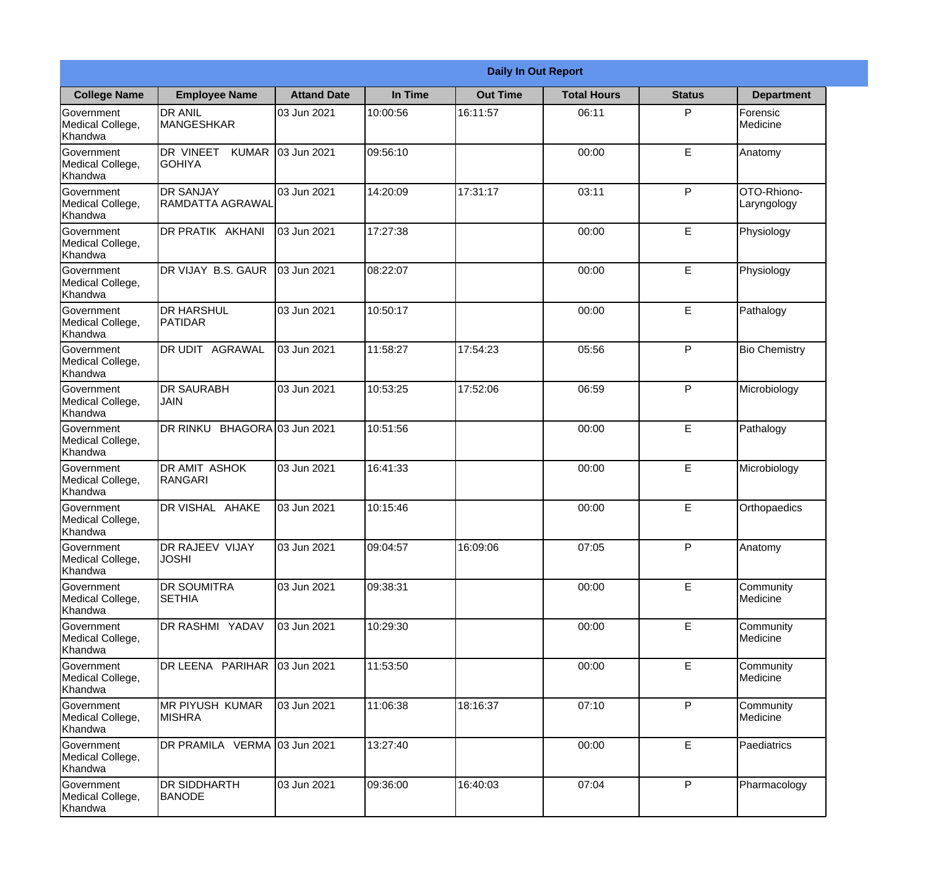|                                           | <b>Daily In Out Report</b>                  |                     |          |                 |                    |               |                            |  |
|-------------------------------------------|---------------------------------------------|---------------------|----------|-----------------|--------------------|---------------|----------------------------|--|
| <b>College Name</b>                       | <b>Employee Name</b>                        | <b>Attand Date</b>  | In Time  | <b>Out Time</b> | <b>Total Hours</b> | <b>Status</b> | <b>Department</b>          |  |
| Government<br>Medical College,<br>Khandwa | <b>DR ANIL</b><br><b>MANGESHKAR</b>         | 03 Jun 2021         | 10:00:56 | 16:11:57        | 06:11              | P             | Forensic<br>Medicine       |  |
| Government<br>Medical College,<br>Khandwa | DR VINEET<br><b>KUMAR</b><br><b>GOHIYA</b>  | 03 Jun 2021         | 09:56:10 |                 | 00:00              | E             | Anatomy                    |  |
| Government<br>Medical College,<br>Khandwa | <b>DR SANJAY</b><br><b>RAMDATTA AGRAWAL</b> | 03 Jun 2021         | 14:20:09 | 17:31:17        | 03:11              | P             | OTO-Rhiono-<br>Laryngology |  |
| Government<br>Medical College,<br>Khandwa | DR PRATIK AKHANI                            | 03 Jun 2021         | 17:27:38 |                 | 00:00              | E             | Physiology                 |  |
| Government<br>Medical College,<br>Khandwa | DR VIJAY B.S. GAUR                          | 03 Jun 2021         | 08:22:07 |                 | 00:00              | E             | Physiology                 |  |
| Government<br>Medical College,<br>Khandwa | <b>DR HARSHUL</b><br>PATIDAR                | 03 Jun 2021         | 10:50:17 |                 | 00:00              | E             | Pathalogy                  |  |
| Government<br>Medical College,<br>Khandwa | DR UDIT AGRAWAL                             | 03 Jun 2021         | 11:58:27 | 17:54:23        | 05:56              | P             | <b>Bio Chemistry</b>       |  |
| Government<br>Medical College,<br>Khandwa | <b>DR SAURABH</b><br>JAIN                   | 03 Jun 2021         | 10:53:25 | 17:52:06        | 06:59              | P             | Microbiology               |  |
| Government<br>Medical College,<br>Khandwa | DR RINKU                                    | BHAGORA 03 Jun 2021 | 10:51:56 |                 | 00:00              | E             | Pathalogy                  |  |
| Government<br>Medical College,<br>Khandwa | <b>DR AMIT ASHOK</b><br><b>RANGARI</b>      | 03 Jun 2021         | 16:41:33 |                 | 00:00              | E             | Microbiology               |  |
| Government<br>Medical College,<br>Khandwa | DR VISHAL AHAKE                             | 03 Jun 2021         | 10:15:46 |                 | 00:00              | E             | Orthopaedics               |  |
| Government<br>Medical College,<br>Khandwa | <b>DR RAJEEV VIJAY</b><br><b>JOSHI</b>      | 03 Jun 2021         | 09:04:57 | 16:09:06        | 07:05              | P             | Anatomy                    |  |
| Government<br>Medical College,<br>Khandwa | <b>DR SOUMITRA</b><br><b>SETHIA</b>         | 03 Jun 2021         | 09:38:31 |                 | 00:00              | E             | Community<br>Medicine      |  |
| Government<br>Medical College,<br>Khandwa | DR RASHMI YADAV                             | 03 Jun 2021         | 10:29:30 |                 | 00:00              | E             | Community<br>Medicine      |  |
| Government<br>Medical College,<br>Khandwa | DR LEENA PARIHAR                            | 03 Jun 2021         | 11:53:50 |                 | 00:00              | E             | Community<br>Medicine      |  |
| Government<br>Medical College,<br>Khandwa | <b>MR PIYUSH KUMAR</b><br><b>MISHRA</b>     | 03 Jun 2021         | 11:06:38 | 18:16:37        | 07:10              | P             | Community<br>Medicine      |  |
| Government<br>Medical College,<br>Khandwa | DR PRAMILA VERMA 03 Jun 2021                |                     | 13:27:40 |                 | 00:00              | E             | Paediatrics                |  |
| Government<br>Medical College,<br>Khandwa | DR SIDDHARTH<br><b>BANODE</b>               | 03 Jun 2021         | 09:36:00 | 16:40:03        | 07:04              | $\mathsf{P}$  | Pharmacology               |  |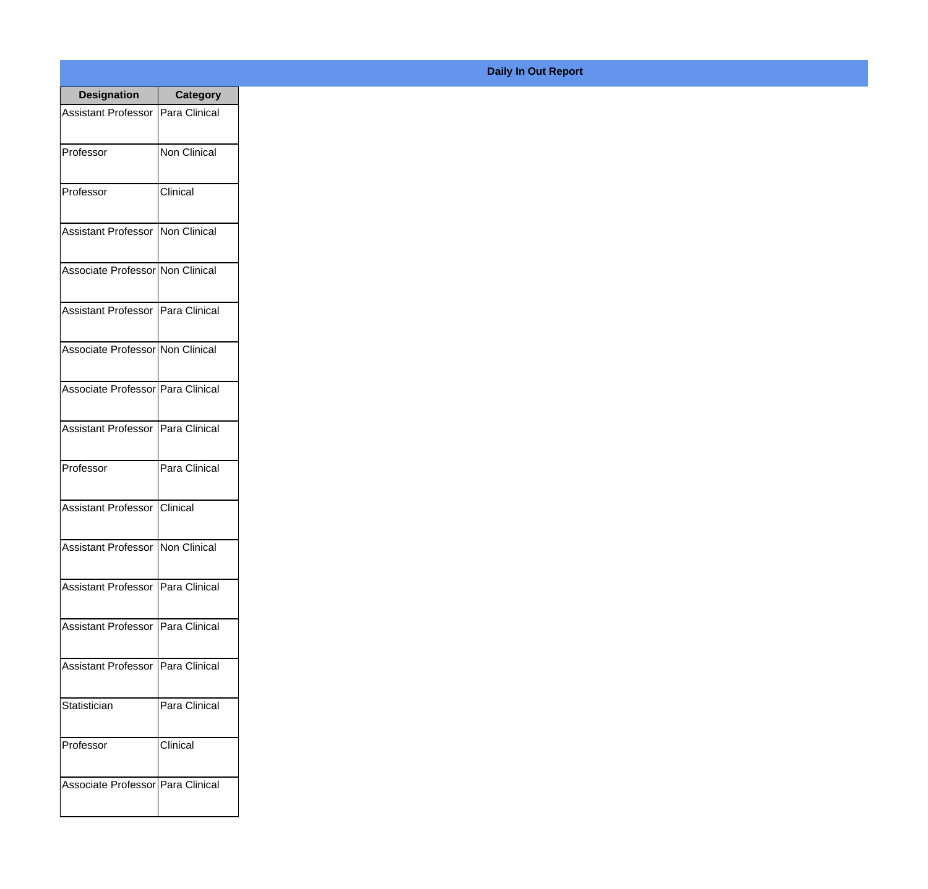| <b>Designation</b>                  | <b>Category</b>     |
|-------------------------------------|---------------------|
| <b>Assistant Professor</b>          | Para Clinical       |
| Professor                           | <b>Non Clinical</b> |
| Professor                           | Clinical            |
| Assistant Professor   Non Clinical  |                     |
| Associate Professor Non Clinical    |                     |
| Assistant Professor   Para Clinical |                     |
| Associate Professor Non Clinical    |                     |
| Associate Professor Para Clinical   |                     |
| Assistant Professor   Para Clinical |                     |
| Professor                           | Para Clinical       |
| <b>Assistant Professor</b>          | Clinical            |
| Assistant Professor Non Clinical    |                     |
| <b>Assistant Professor</b>          | Para Clinical       |
| <b>Assistant Professor</b>          | Para Clinical       |
| <b>Assistant Professor</b>          | Para Clinical       |
| Statistician                        | Para Clinical       |
| Professor                           | Clinical            |
| Associate Professor   Para Clinical |                     |

## **Daily In Out Report**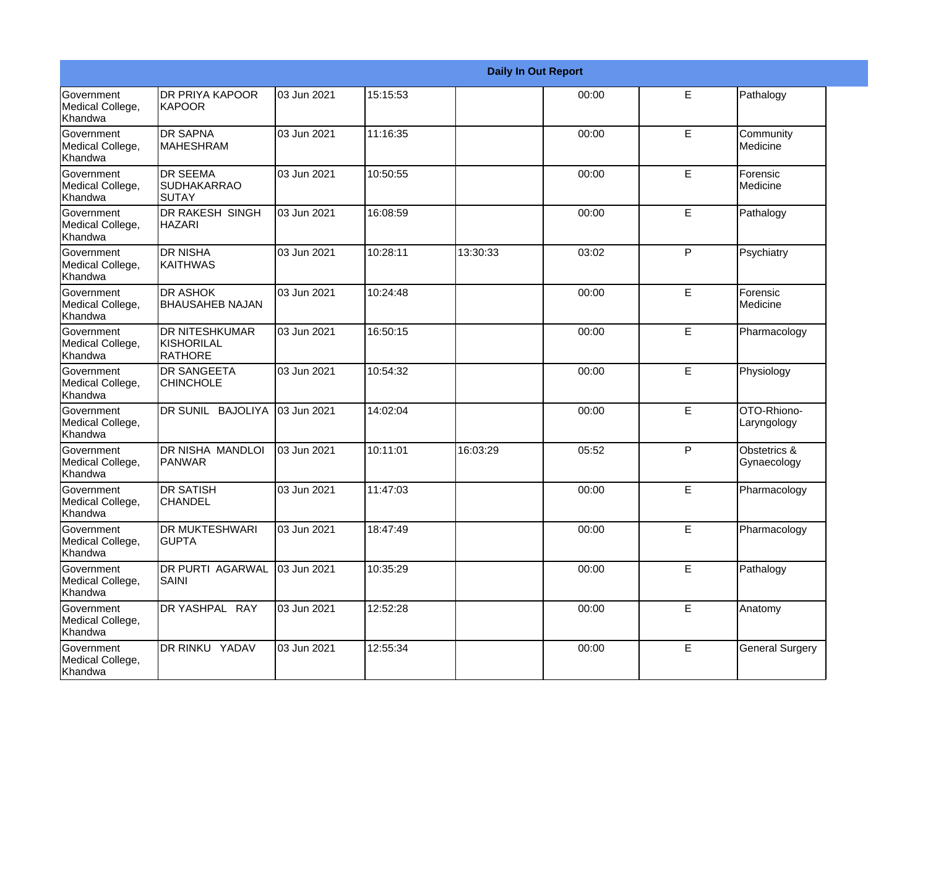|                                                         |                                                       |             |          |          | <b>Daily In Out Report</b> |   |                             |
|---------------------------------------------------------|-------------------------------------------------------|-------------|----------|----------|----------------------------|---|-----------------------------|
| Government<br>Medical College,<br>Khandwa               | <b>DR PRIYA KAPOOR</b><br><b>KAPOOR</b>               | 03 Jun 2021 | 15:15:53 |          | 00:00                      | E | Pathalogy                   |
| <b>Government</b><br>Medical College,<br>Khandwa        | <b>DR SAPNA</b><br>IMAHESHRAM                         | 03 Jun 2021 | 11:16:35 |          | 00:00                      | E | Community<br>Medicine       |
| <b>Government</b><br>Medical College,<br>Khandwa        | <b>DR SEEMA</b><br><b>SUDHAKARRAO</b><br><b>SUTAY</b> | 03 Jun 2021 | 10:50:55 |          | 00:00                      | E | Forensic<br>Medicine        |
| <b>Government</b><br>Medical College,<br>Khandwa        | DR RAKESH SINGH<br><b>HAZARI</b>                      | 03 Jun 2021 | 16:08:59 |          | 00:00                      | E | Pathalogy                   |
| Government<br>Medical College,<br>Khandwa               | <b>DR NISHA</b><br><b>KAITHWAS</b>                    | 03 Jun 2021 | 10:28:11 | 13:30:33 | 03:02                      | P | Psychiatry                  |
| <b>Government</b><br>Medical College,<br><b>Khandwa</b> | <b>DR ASHOK</b><br><b>BHAUSAHEB NAJAN</b>             | 03 Jun 2021 | 10:24:48 |          | 00:00                      | E | Forensic<br>Medicine        |
| Government<br>Medical College,<br>Khandwa               | <b>DR NITESHKUMAR</b><br>KISHORILAL<br>RATHORE        | 03 Jun 2021 | 16:50:15 |          | 00:00                      | E | Pharmacology                |
| Government<br>Medical College,<br>Khandwa               | <b>DR SANGEETA</b><br><b>CHINCHOLE</b>                | 03 Jun 2021 | 10:54:32 |          | 00:00                      | E | Physiology                  |
| Government<br>Medical College,<br>Khandwa               | DR SUNIL BAJOLIYA                                     | 03 Jun 2021 | 14:02:04 |          | 00:00                      | E | OTO-Rhiono-<br>Laryngology  |
| <b>Government</b><br>Medical College,<br>Khandwa        | Idr nisha mandloi<br><b>PANWAR</b>                    | 03 Jun 2021 | 10:11:01 | 16:03:29 | 05:52                      | P | Obstetrics &<br>Gynaecology |
| <b>Government</b><br>Medical College,<br>Khandwa        | <b>DR SATISH</b><br><b>CHANDEL</b>                    | 03 Jun 2021 | 11:47:03 |          | 00:00                      | E | Pharmacology                |
| Government<br>Medical College,<br>Khandwa               | <b>DR MUKTESHWARI</b><br><b>GUPTA</b>                 | 03 Jun 2021 | 18:47:49 |          | 00:00                      | E | Pharmacology                |
| Government<br>Medical College,<br>Khandwa               | DR PURTI AGARWAL<br><b>SAINI</b>                      | 03 Jun 2021 | 10:35:29 |          | 00:00                      | E | Pathalogy                   |
| Government<br>Medical College,<br>Khandwa               | DR YASHPAL RAY                                        | 03 Jun 2021 | 12:52:28 |          | 00:00                      | E | Anatomy                     |
| Government<br>Medical College,<br>Khandwa               | DR RINKU YADAV                                        | 03 Jun 2021 | 12:55:34 |          | 00:00                      | E | <b>General Surgery</b>      |